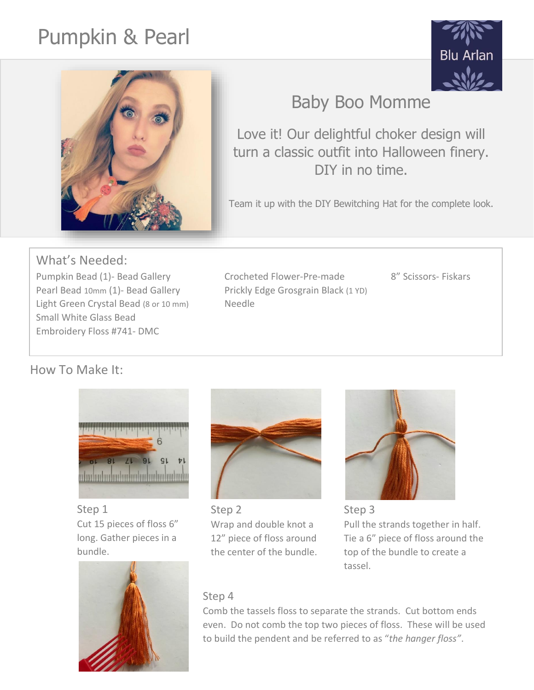# Pumpkin & Pearl





## Baby Boo Momme

Love it! Our delightful choker design will turn a classic outfit into Halloween finery. DIY in no time.

Team it up with the DIY Bewitching Hat for the complete look.

### What's Needed:

Pumpkin Bead (1)- Bead Gallery Crocheted Flower-Pre-made 8" Scissors- Fiskars Pearl Bead 10mm (1)- Bead Gallery Prickly Edge Grosgrain Black (1 YD) Light Green Crystal Bead (8 or 10 mm) Needle Small White Glass Bead Embroidery Floss #741- DMC

How To Make It:



Step 1 Cut 15 pieces of floss 6" long. Gather pieces in a bundle.





Step 2 Wrap and double knot a 12" piece of floss around the center of the bundle.



Step 3 Pull the strands together in half. Tie a 6" piece of floss around the top of the bundle to create a tassel.

### Step 4

Comb the tassels floss to separate the strands. Cut bottom ends even. Do not comb the top two pieces of floss. These will be used to build the pendent and be referred to as "*the hanger floss"*.